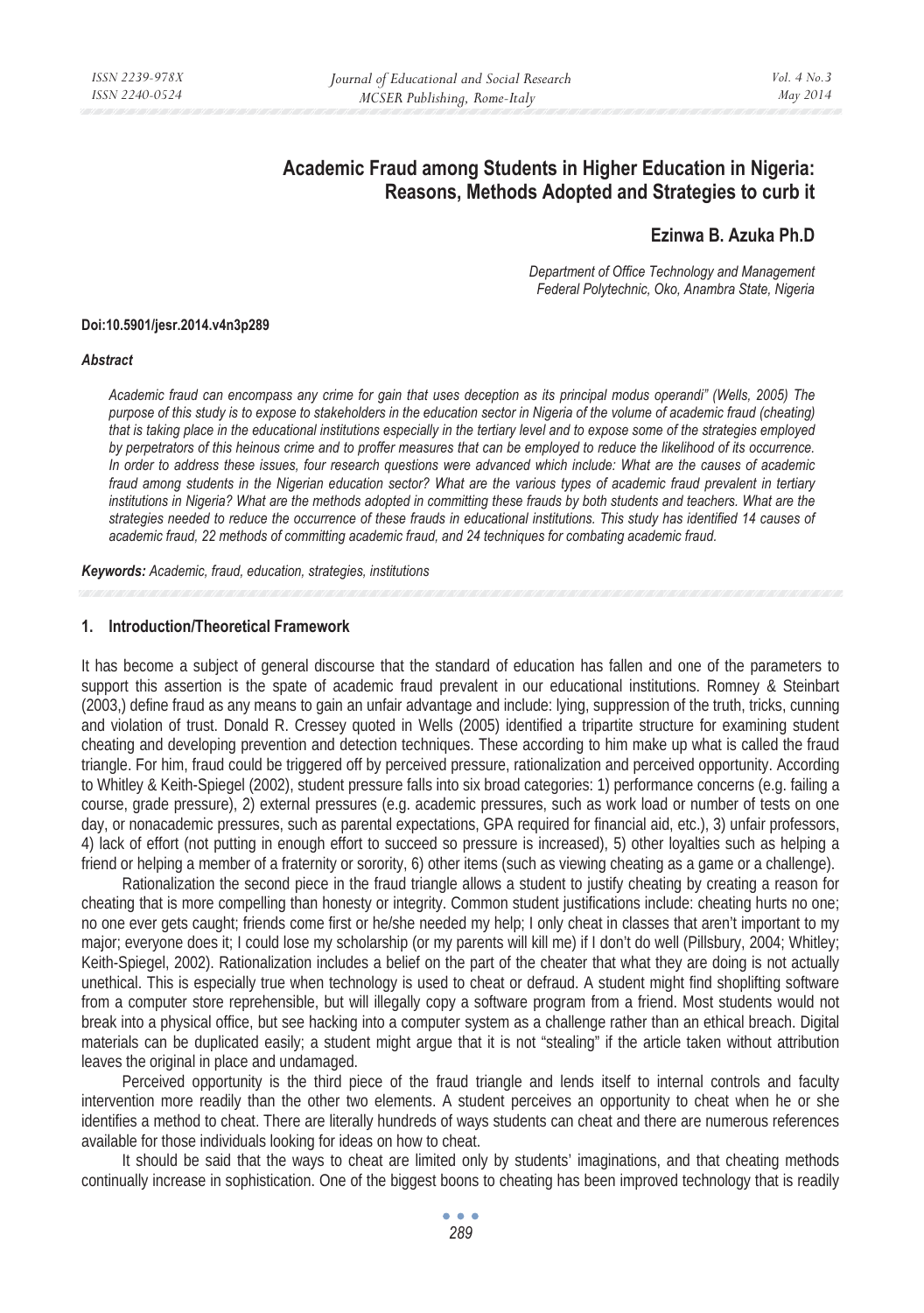# **Academic Fraud among Students in Higher Education in Nigeria: Reasons, Methods Adopted and Strategies to curb it**

## **Ezinwa B. Azuka Ph.D**

*Department of Office Technology and Management Federal Polytechnic, Oko, Anambra State, Nigeria* 

#### **Doi:10.5901/jesr.2014.v4n3p289**

#### *Abstract*

*Academic fraud can encompass any crime for gain that uses deception as its principal modus operandi" (Wells, 2005) The purpose of this study is to expose to stakeholders in the education sector in Nigeria of the volume of academic fraud (cheating) that is taking place in the educational institutions especially in the tertiary level and to expose some of the strategies employed by perpetrators of this heinous crime and to proffer measures that can be employed to reduce the likelihood of its occurrence. In order to address these issues, four research questions were advanced which include: What are the causes of academic fraud among students in the Nigerian education sector? What are the various types of academic fraud prevalent in tertiary*  institutions in Nigeria? What are the methods adopted in committing these frauds by both students and teachers. What are the *strategies needed to reduce the occurrence of these frauds in educational institutions. This study has identified 14 causes of academic fraud, 22 methods of committing academic fraud, and 24 techniques for combating academic fraud.* 

*Keywords: Academic, fraud, education, strategies, institutions* 

#### **1. Introduction/Theoretical Framework**

It has become a subject of general discourse that the standard of education has fallen and one of the parameters to support this assertion is the spate of academic fraud prevalent in our educational institutions. Romney & Steinbart (2003,) define fraud as any means to gain an unfair advantage and include: lying, suppression of the truth, tricks, cunning and violation of trust. Donald R. Cressey quoted in Wells (2005) identified a tripartite structure for examining student cheating and developing prevention and detection techniques. These according to him make up what is called the fraud triangle. For him, fraud could be triggered off by perceived pressure, rationalization and perceived opportunity. According to Whitley & Keith-Spiegel (2002), student pressure falls into six broad categories: 1) performance concerns (e.g. failing a course, grade pressure), 2) external pressures (e.g. academic pressures, such as work load or number of tests on one day, or nonacademic pressures, such as parental expectations, GPA required for financial aid, etc.), 3) unfair professors, 4) lack of effort (not putting in enough effort to succeed so pressure is increased), 5) other loyalties such as helping a friend or helping a member of a fraternity or sorority, 6) other items (such as viewing cheating as a game or a challenge).

Rationalization the second piece in the fraud triangle allows a student to justify cheating by creating a reason for cheating that is more compelling than honesty or integrity. Common student justifications include: cheating hurts no one; no one ever gets caught; friends come first or he/she needed my help; I only cheat in classes that aren't important to my major; everyone does it; I could lose my scholarship (or my parents will kill me) if I don't do well (Pillsbury, 2004; Whitley; Keith-Spiegel, 2002). Rationalization includes a belief on the part of the cheater that what they are doing is not actually unethical. This is especially true when technology is used to cheat or defraud. A student might find shoplifting software from a computer store reprehensible, but will illegally copy a software program from a friend. Most students would not break into a physical office, but see hacking into a computer system as a challenge rather than an ethical breach. Digital materials can be duplicated easily; a student might argue that it is not "stealing" if the article taken without attribution leaves the original in place and undamaged.

Perceived opportunity is the third piece of the fraud triangle and lends itself to internal controls and faculty intervention more readily than the other two elements. A student perceives an opportunity to cheat when he or she identifies a method to cheat. There are literally hundreds of ways students can cheat and there are numerous references available for those individuals looking for ideas on how to cheat.

It should be said that the ways to cheat are limited only by students' imaginations, and that cheating methods continually increase in sophistication. One of the biggest boons to cheating has been improved technology that is readily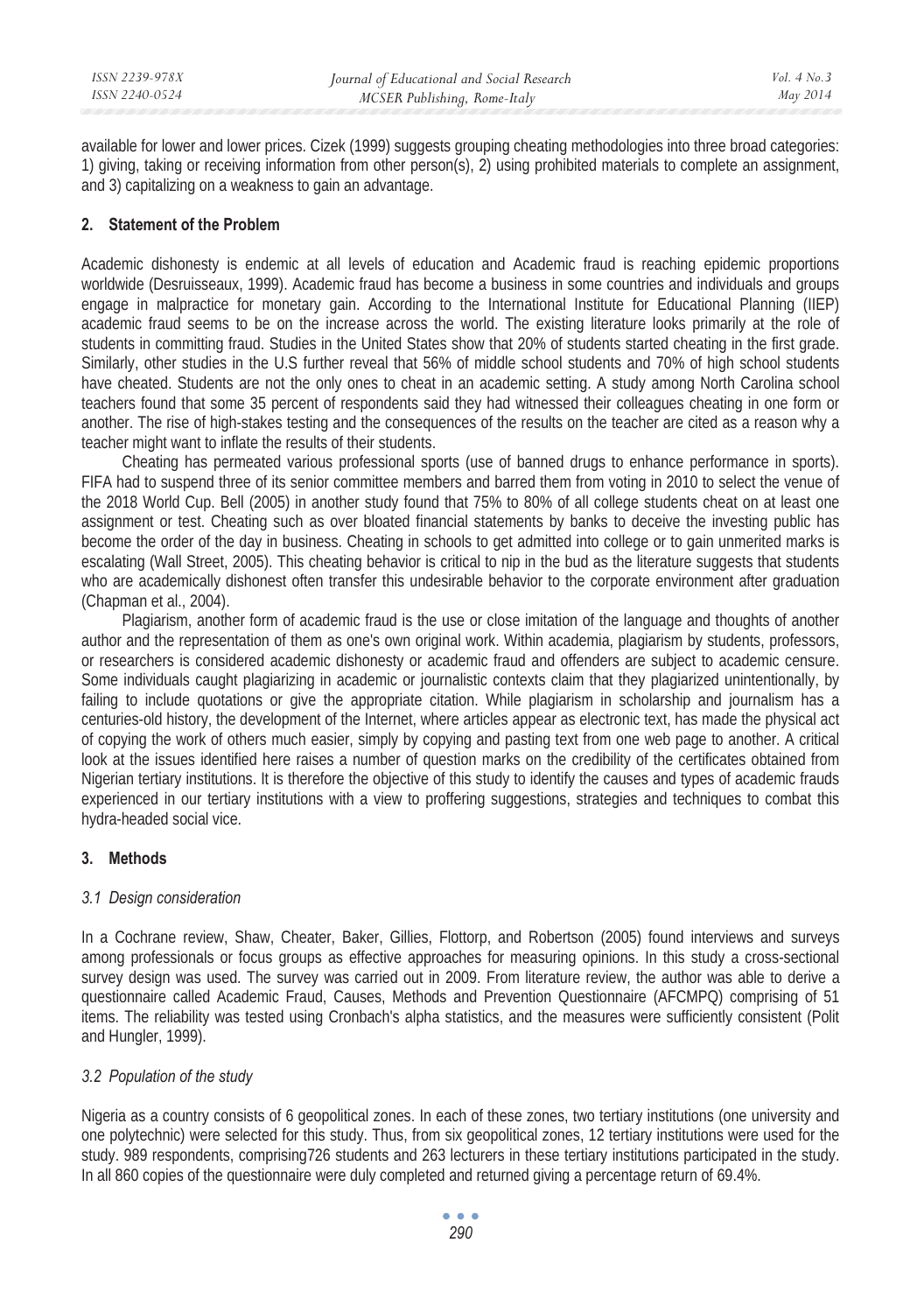available for lower and lower prices. Cizek (1999) suggests grouping cheating methodologies into three broad categories: 1) giving, taking or receiving information from other person(s), 2) using prohibited materials to complete an assignment, and 3) capitalizing on a weakness to gain an advantage.

## **2. Statement of the Problem**

Academic dishonesty is endemic at all levels of education and Academic fraud is reaching epidemic proportions worldwide (Desruisseaux, 1999). Academic fraud has become a business in some countries and individuals and groups engage in malpractice for monetary gain. According to the International Institute for Educational Planning (IIEP) academic fraud seems to be on the increase across the world. The existing literature looks primarily at the role of students in committing fraud. Studies in the United States show that 20% of students started cheating in the first grade. Similarly, other studies in the U.S further reveal that 56% of middle school students and 70% of high school students have cheated. Students are not the only ones to cheat in an academic setting. A study among North Carolina school teachers found that some 35 percent of respondents said they had witnessed their colleagues cheating in one form or another. The rise of high-stakes testing and the consequences of the results on the teacher are cited as a reason why a teacher might want to inflate the results of their students.

Cheating has permeated various professional sports (use of banned drugs to enhance performance in sports). FIFA had to suspend three of its senior committee members and barred them from voting in 2010 to select the venue of the 2018 World Cup. Bell (2005) in another study found that 75% to 80% of all college students cheat on at least one assignment or test. Cheating such as over bloated financial statements by banks to deceive the investing public has become the order of the day in business. Cheating in schools to get admitted into college or to gain unmerited marks is escalating (Wall Street, 2005). This cheating behavior is critical to nip in the bud as the literature suggests that students who are academically dishonest often transfer this undesirable behavior to the corporate environment after graduation (Chapman et al., 2004).

Plagiarism, another form of academic fraud is the use or close imitation of the language and thoughts of another author and the representation of them as one's own original work. Within academia, plagiarism by students, professors, or researchers is considered academic dishonesty or academic fraud and offenders are subject to academic censure. Some individuals caught plagiarizing in academic or journalistic contexts claim that they plagiarized unintentionally, by failing to include quotations or give the appropriate citation. While plagiarism in scholarship and journalism has a centuries-old history, the development of the Internet, where articles appear as electronic text, has made the physical act of copying the work of others much easier, simply by copying and pasting text from one web page to another. A critical look at the issues identified here raises a number of question marks on the credibility of the certificates obtained from Nigerian tertiary institutions. It is therefore the objective of this study to identify the causes and types of academic frauds experienced in our tertiary institutions with a view to proffering suggestions, strategies and techniques to combat this hydra-headed social vice.

## **3. Methods**

## *3.1 Design consideration*

In a Cochrane review, Shaw, Cheater, Baker, Gillies, Flottorp, and Robertson (2005) found interviews and surveys among professionals or focus groups as effective approaches for measuring opinions. In this study a cross-sectional survey design was used. The survey was carried out in 2009. From literature review, the author was able to derive a questionnaire called Academic Fraud, Causes, Methods and Prevention Questionnaire (AFCMPQ) comprising of 51 items. The reliability was tested using Cronbach's alpha statistics, and the measures were sufficiently consistent (Polit and Hungler, 1999).

## *3.2 Population of the study*

Nigeria as a country consists of 6 geopolitical zones. In each of these zones, two tertiary institutions (one university and one polytechnic) were selected for this study. Thus, from six geopolitical zones, 12 tertiary institutions were used for the study. 989 respondents, comprising726 students and 263 lecturers in these tertiary institutions participated in the study. In all 860 copies of the questionnaire were duly completed and returned giving a percentage return of 69.4%.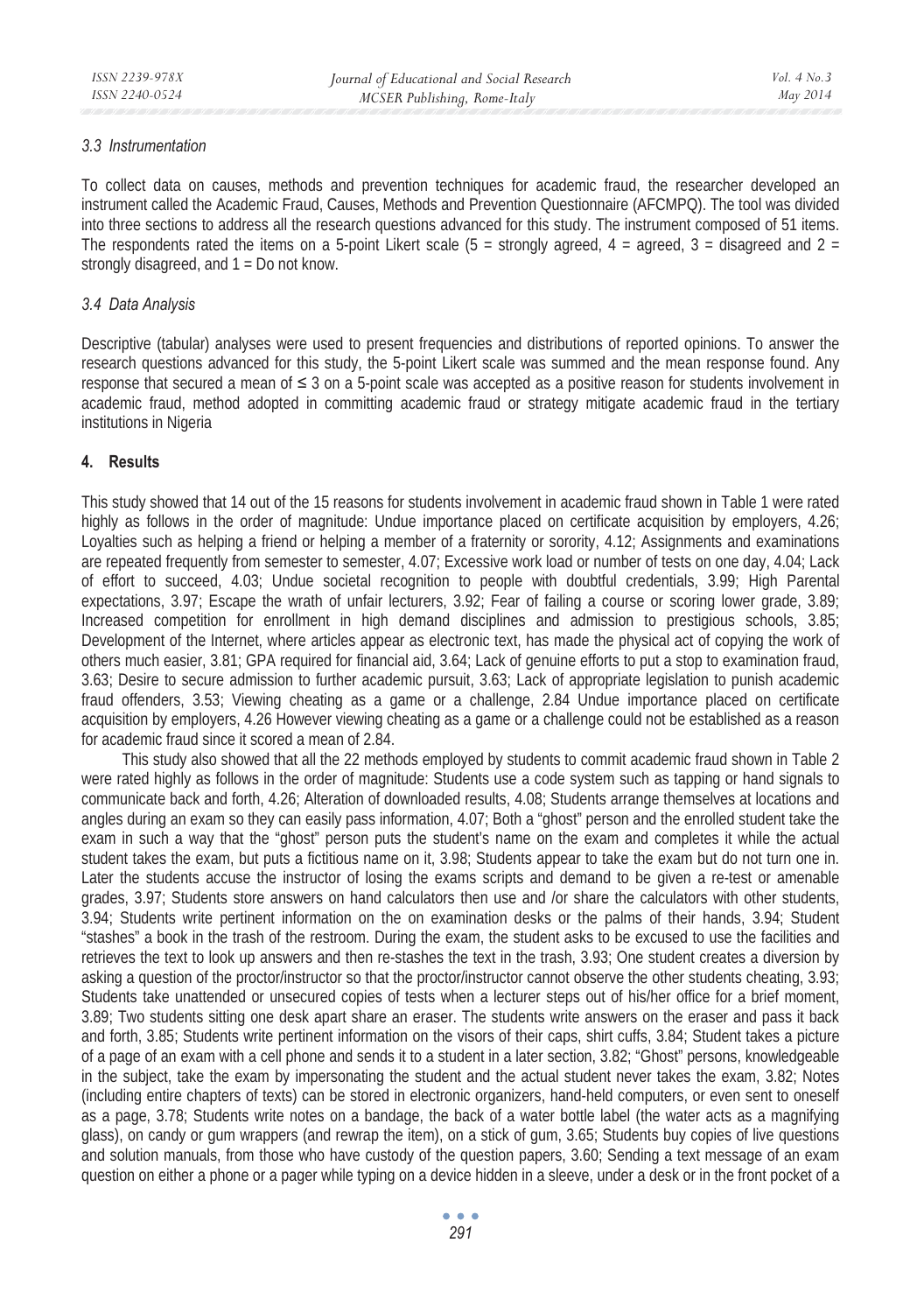## *3.3 Instrumentation*

To collect data on causes, methods and prevention techniques for academic fraud, the researcher developed an instrument called the Academic Fraud, Causes, Methods and Prevention Questionnaire (AFCMPQ). The tool was divided into three sections to address all the research questions advanced for this study. The instrument composed of 51 items. The respondents rated the items on a 5-point Likert scale (5 = strongly agreed, 4 = agreed, 3 = disagreed and 2 = strongly disagreed, and 1 = Do not know.

#### *3.4 Data Analysis*

Descriptive (tabular) analyses were used to present frequencies and distributions of reported opinions. To answer the research questions advanced for this study, the 5-point Likert scale was summed and the mean response found. Any response that secured a mean of  $\leq 3$  on a 5-point scale was accepted as a positive reason for students involvement in academic fraud, method adopted in committing academic fraud or strategy mitigate academic fraud in the tertiary institutions in Nigeria

## **4. Results**

This study showed that 14 out of the 15 reasons for students involvement in academic fraud shown in Table 1 were rated highly as follows in the order of magnitude: Undue importance placed on certificate acquisition by employers, 4.26; Loyalties such as helping a friend or helping a member of a fraternity or sorority, 4.12; Assignments and examinations are repeated frequently from semester to semester, 4.07; Excessive work load or number of tests on one day, 4.04; Lack of effort to succeed, 4.03; Undue societal recognition to people with doubtful credentials, 3.99; High Parental expectations, 3.97; Escape the wrath of unfair lecturers, 3.92; Fear of failing a course or scoring lower grade, 3.89; Increased competition for enrollment in high demand disciplines and admission to prestigious schools, 3.85; Development of the Internet, where articles appear as electronic text, has made the physical act of copying the work of others much easier, 3.81; GPA required for financial aid, 3.64; Lack of genuine efforts to put a stop to examination fraud, 3.63; Desire to secure admission to further academic pursuit, 3.63; Lack of appropriate legislation to punish academic fraud offenders, 3.53; Viewing cheating as a game or a challenge, 2.84 Undue importance placed on certificate acquisition by employers, 4.26 However viewing cheating as a game or a challenge could not be established as a reason for academic fraud since it scored a mean of 2.84.

This study also showed that all the 22 methods employed by students to commit academic fraud shown in Table 2 were rated highly as follows in the order of magnitude: Students use a code system such as tapping or hand signals to communicate back and forth, 4.26; Alteration of downloaded results, 4.08; Students arrange themselves at locations and angles during an exam so they can easily pass information, 4.07; Both a "ghost" person and the enrolled student take the exam in such a way that the "ghost" person puts the student's name on the exam and completes it while the actual student takes the exam, but puts a fictitious name on it, 3.98; Students appear to take the exam but do not turn one in. Later the students accuse the instructor of losing the exams scripts and demand to be given a re-test or amenable grades, 3.97; Students store answers on hand calculators then use and /or share the calculators with other students, 3.94; Students write pertinent information on the on examination desks or the palms of their hands, 3.94; Student "stashes" a book in the trash of the restroom. During the exam, the student asks to be excused to use the facilities and retrieves the text to look up answers and then re-stashes the text in the trash, 3.93; One student creates a diversion by asking a question of the proctor/instructor so that the proctor/instructor cannot observe the other students cheating, 3.93; Students take unattended or unsecured copies of tests when a lecturer steps out of his/her office for a brief moment, 3.89; Two students sitting one desk apart share an eraser. The students write answers on the eraser and pass it back and forth, 3.85; Students write pertinent information on the visors of their caps, shirt cuffs, 3.84; Student takes a picture of a page of an exam with a cell phone and sends it to a student in a later section, 3.82; "Ghost" persons, knowledgeable in the subject, take the exam by impersonating the student and the actual student never takes the exam, 3.82; Notes (including entire chapters of texts) can be stored in electronic organizers, hand-held computers, or even sent to oneself as a page, 3.78; Students write notes on a bandage, the back of a water bottle label (the water acts as a magnifying glass), on candy or gum wrappers (and rewrap the item), on a stick of gum, 3.65; Students buy copies of live questions and solution manuals, from those who have custody of the question papers, 3.60; Sending a text message of an exam question on either a phone or a pager while typing on a device hidden in a sleeve, under a desk or in the front pocket of a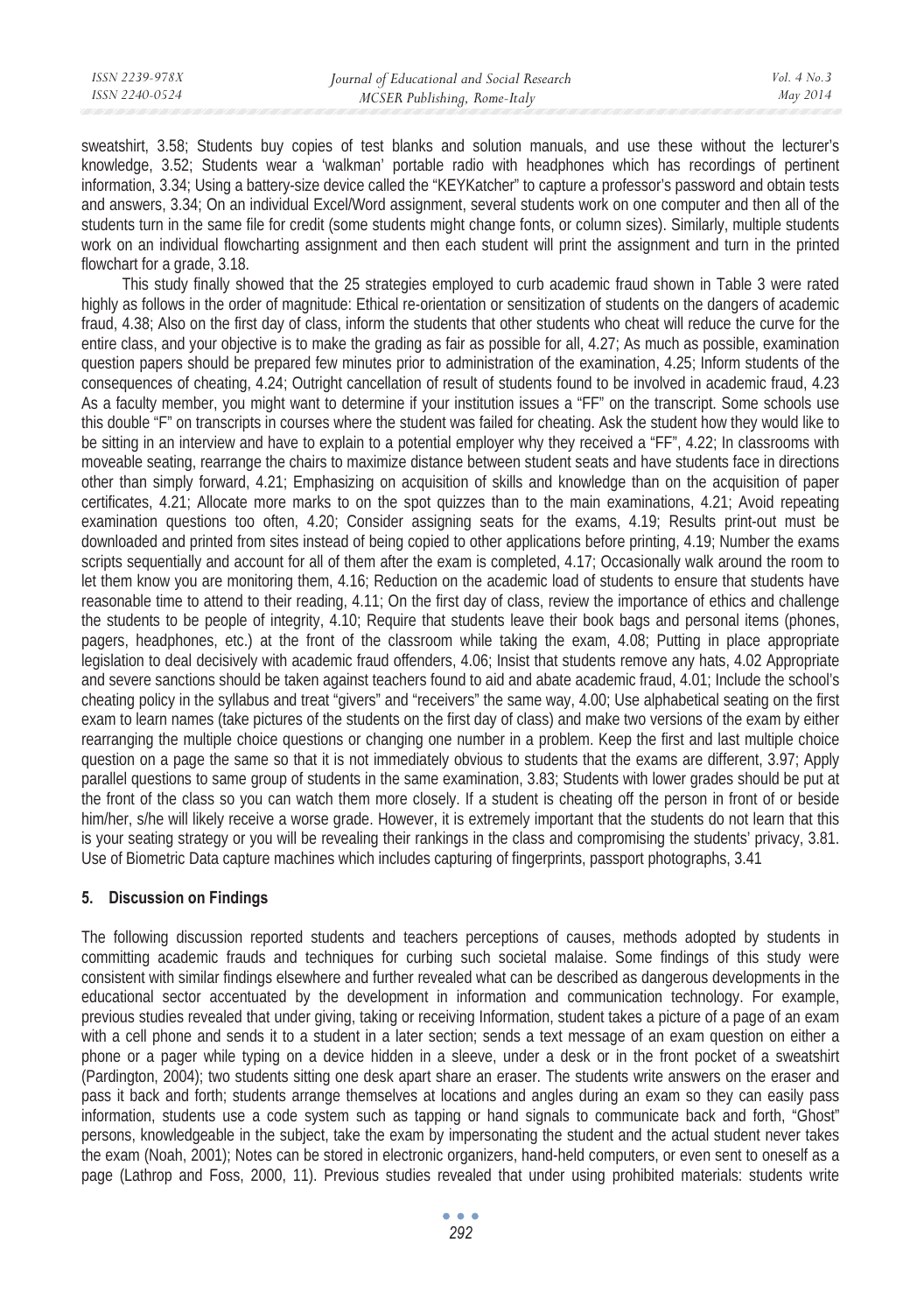sweatshirt, 3.58; Students buy copies of test blanks and solution manuals, and use these without the lecturer's knowledge, 3.52; Students wear a 'walkman' portable radio with headphones which has recordings of pertinent information, 3.34; Using a battery-size device called the "KEYKatcher" to capture a professor's password and obtain tests and answers, 3.34; On an individual Excel/Word assignment, several students work on one computer and then all of the students turn in the same file for credit (some students might change fonts, or column sizes). Similarly, multiple students work on an individual flowcharting assignment and then each student will print the assignment and turn in the printed flowchart for a grade, 3.18.

This study finally showed that the 25 strategies employed to curb academic fraud shown in Table 3 were rated highly as follows in the order of magnitude: Ethical re-orientation or sensitization of students on the dangers of academic fraud, 4.38; Also on the first day of class, inform the students that other students who cheat will reduce the curve for the entire class, and your objective is to make the grading as fair as possible for all, 4.27; As much as possible, examination question papers should be prepared few minutes prior to administration of the examination, 4.25; Inform students of the consequences of cheating, 4.24; Outright cancellation of result of students found to be involved in academic fraud, 4.23 As a faculty member, you might want to determine if your institution issues a "FF" on the transcript. Some schools use this double "F" on transcripts in courses where the student was failed for cheating. Ask the student how they would like to be sitting in an interview and have to explain to a potential employer why they received a "FF", 4.22; In classrooms with moveable seating, rearrange the chairs to maximize distance between student seats and have students face in directions other than simply forward, 4.21; Emphasizing on acquisition of skills and knowledge than on the acquisition of paper certificates, 4.21; Allocate more marks to on the spot quizzes than to the main examinations, 4.21; Avoid repeating examination questions too often, 4.20; Consider assigning seats for the exams, 4.19; Results print-out must be downloaded and printed from sites instead of being copied to other applications before printing, 4.19; Number the exams scripts sequentially and account for all of them after the exam is completed, 4.17; Occasionally walk around the room to let them know you are monitoring them, 4.16; Reduction on the academic load of students to ensure that students have reasonable time to attend to their reading, 4.11; On the first day of class, review the importance of ethics and challenge the students to be people of integrity, 4.10; Require that students leave their book bags and personal items (phones, pagers, headphones, etc.) at the front of the classroom while taking the exam, 4.08; Putting in place appropriate legislation to deal decisively with academic fraud offenders, 4.06; Insist that students remove any hats, 4.02 Appropriate and severe sanctions should be taken against teachers found to aid and abate academic fraud, 4.01; Include the school's cheating policy in the syllabus and treat "givers" and "receivers" the same way, 4.00; Use alphabetical seating on the first exam to learn names (take pictures of the students on the first day of class) and make two versions of the exam by either rearranging the multiple choice questions or changing one number in a problem. Keep the first and last multiple choice question on a page the same so that it is not immediately obvious to students that the exams are different, 3.97; Apply parallel questions to same group of students in the same examination, 3.83; Students with lower grades should be put at the front of the class so you can watch them more closely. If a student is cheating off the person in front of or beside him/her, s/he will likely receive a worse grade. However, it is extremely important that the students do not learn that this is your seating strategy or you will be revealing their rankings in the class and compromising the students' privacy, 3.81. Use of Biometric Data capture machines which includes capturing of fingerprints, passport photographs, 3.41

## **5. Discussion on Findings**

The following discussion reported students and teachers perceptions of causes, methods adopted by students in committing academic frauds and techniques for curbing such societal malaise. Some findings of this study were consistent with similar findings elsewhere and further revealed what can be described as dangerous developments in the educational sector accentuated by the development in information and communication technology. For example, previous studies revealed that under giving, taking or receiving Information, student takes a picture of a page of an exam with a cell phone and sends it to a student in a later section; sends a text message of an exam question on either a phone or a pager while typing on a device hidden in a sleeve, under a desk or in the front pocket of a sweatshirt (Pardington, 2004); two students sitting one desk apart share an eraser. The students write answers on the eraser and pass it back and forth; students arrange themselves at locations and angles during an exam so they can easily pass information, students use a code system such as tapping or hand signals to communicate back and forth, "Ghost" persons, knowledgeable in the subject, take the exam by impersonating the student and the actual student never takes the exam (Noah, 2001); Notes can be stored in electronic organizers, hand-held computers, or even sent to oneself as a page (Lathrop and Foss, 2000, 11). Previous studies revealed that under using prohibited materials: students write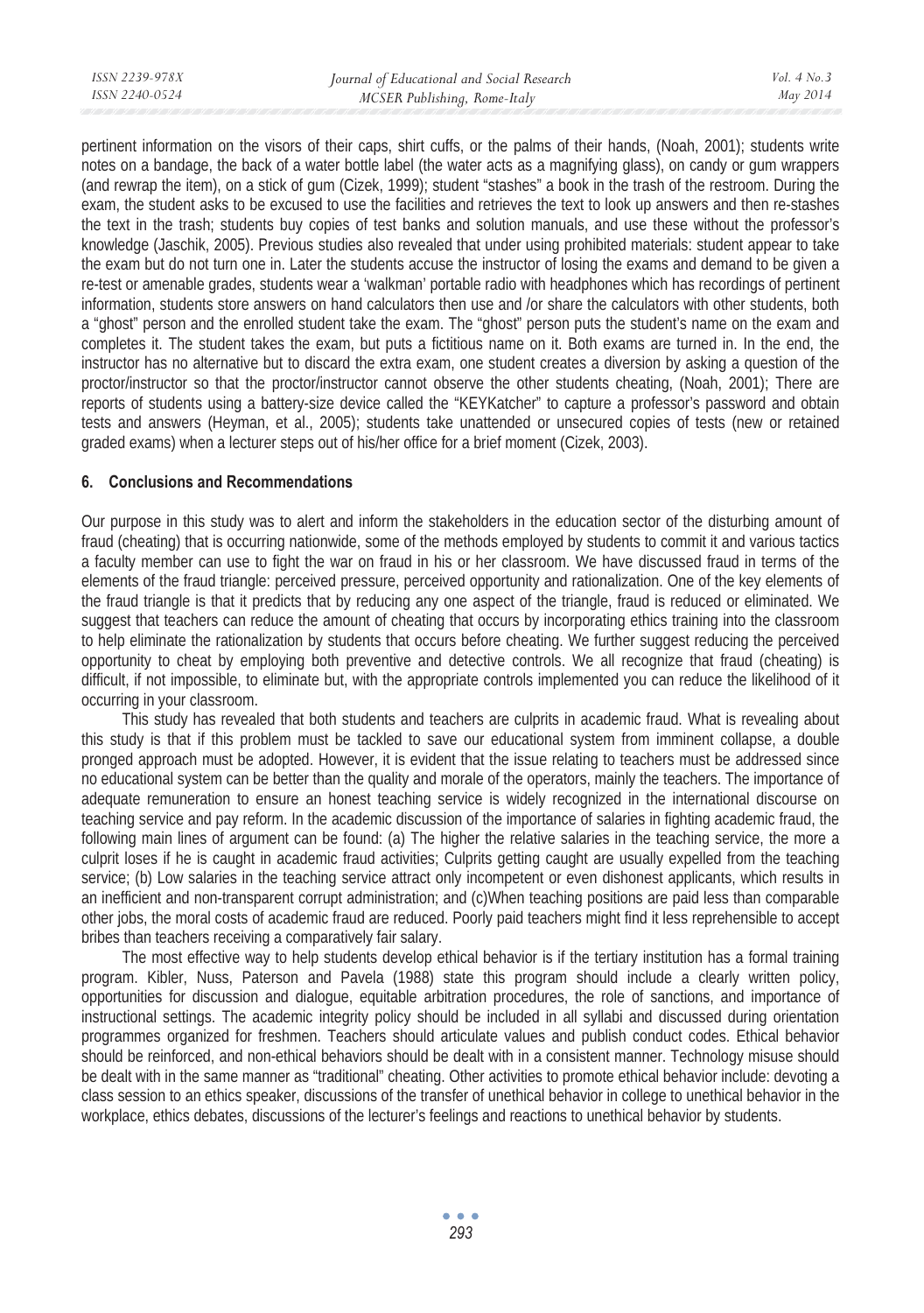pertinent information on the visors of their caps, shirt cuffs, or the palms of their hands, (Noah, 2001); students write notes on a bandage, the back of a water bottle label (the water acts as a magnifying glass), on candy or gum wrappers (and rewrap the item), on a stick of gum (Cizek, 1999); student "stashes" a book in the trash of the restroom. During the exam, the student asks to be excused to use the facilities and retrieves the text to look up answers and then re-stashes the text in the trash; students buy copies of test banks and solution manuals, and use these without the professor's knowledge (Jaschik, 2005). Previous studies also revealed that under using prohibited materials: student appear to take the exam but do not turn one in. Later the students accuse the instructor of losing the exams and demand to be given a re-test or amenable grades, students wear a 'walkman' portable radio with headphones which has recordings of pertinent information, students store answers on hand calculators then use and /or share the calculators with other students, both a "ghost" person and the enrolled student take the exam. The "ghost" person puts the student's name on the exam and completes it. The student takes the exam, but puts a fictitious name on it. Both exams are turned in. In the end, the instructor has no alternative but to discard the extra exam, one student creates a diversion by asking a question of the proctor/instructor so that the proctor/instructor cannot observe the other students cheating, (Noah, 2001); There are reports of students using a battery-size device called the "KEYKatcher" to capture a professor's password and obtain tests and answers (Heyman, et al., 2005); students take unattended or unsecured copies of tests (new or retained graded exams) when a lecturer steps out of his/her office for a brief moment (Cizek, 2003).

## **6. Conclusions and Recommendations**

Our purpose in this study was to alert and inform the stakeholders in the education sector of the disturbing amount of fraud (cheating) that is occurring nationwide, some of the methods employed by students to commit it and various tactics a faculty member can use to fight the war on fraud in his or her classroom. We have discussed fraud in terms of the elements of the fraud triangle: perceived pressure, perceived opportunity and rationalization. One of the key elements of the fraud triangle is that it predicts that by reducing any one aspect of the triangle, fraud is reduced or eliminated. We suggest that teachers can reduce the amount of cheating that occurs by incorporating ethics training into the classroom to help eliminate the rationalization by students that occurs before cheating. We further suggest reducing the perceived opportunity to cheat by employing both preventive and detective controls. We all recognize that fraud (cheating) is difficult, if not impossible, to eliminate but, with the appropriate controls implemented you can reduce the likelihood of it occurring in your classroom.

This study has revealed that both students and teachers are culprits in academic fraud. What is revealing about this study is that if this problem must be tackled to save our educational system from imminent collapse, a double pronged approach must be adopted. However, it is evident that the issue relating to teachers must be addressed since no educational system can be better than the quality and morale of the operators, mainly the teachers. The importance of adequate remuneration to ensure an honest teaching service is widely recognized in the international discourse on teaching service and pay reform. In the academic discussion of the importance of salaries in fighting academic fraud, the following main lines of argument can be found: (a) The higher the relative salaries in the teaching service, the more a culprit loses if he is caught in academic fraud activities; Culprits getting caught are usually expelled from the teaching service; (b) Low salaries in the teaching service attract only incompetent or even dishonest applicants, which results in an inefficient and non-transparent corrupt administration; and (c)When teaching positions are paid less than comparable other jobs, the moral costs of academic fraud are reduced. Poorly paid teachers might find it less reprehensible to accept bribes than teachers receiving a comparatively fair salary.

The most effective way to help students develop ethical behavior is if the tertiary institution has a formal training program. Kibler, Nuss, Paterson and Pavela (1988) state this program should include a clearly written policy, opportunities for discussion and dialogue, equitable arbitration procedures, the role of sanctions, and importance of instructional settings. The academic integrity policy should be included in all syllabi and discussed during orientation programmes organized for freshmen. Teachers should articulate values and publish conduct codes. Ethical behavior should be reinforced, and non-ethical behaviors should be dealt with in a consistent manner. Technology misuse should be dealt with in the same manner as "traditional" cheating. Other activities to promote ethical behavior include: devoting a class session to an ethics speaker, discussions of the transfer of unethical behavior in college to unethical behavior in the workplace, ethics debates, discussions of the lecturer's feelings and reactions to unethical behavior by students.

> $\bullet$   $\bullet$   $\bullet$ *293*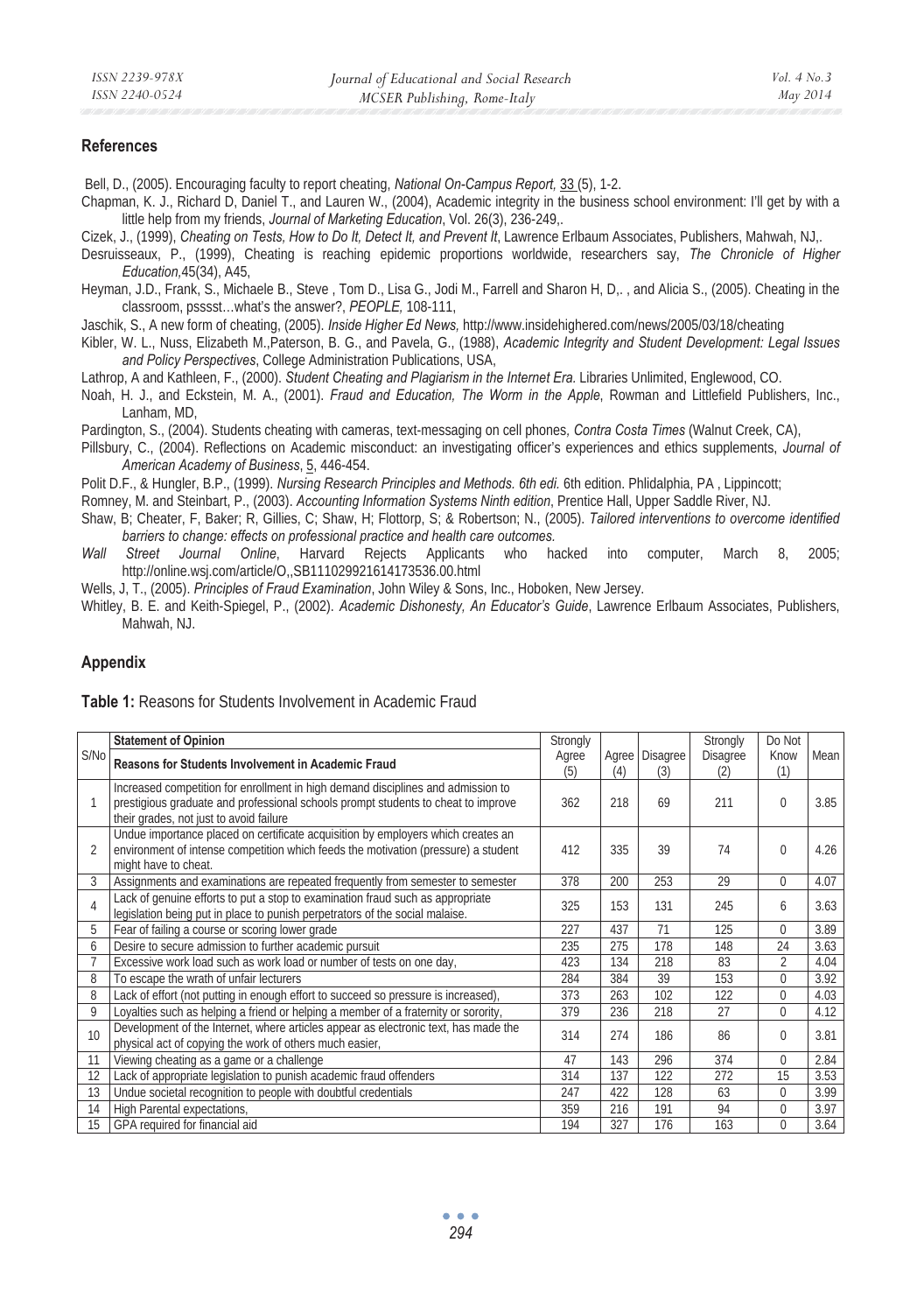#### **References**

Bell, D., (2005). Encouraging faculty to report cheating, *National On-Campus Report,* 33 (5), 1-2.

Chapman, K. J., Richard D, Daniel T., and Lauren W., (2004), Academic integrity in the business school environment: I'll get by with a little help from my friends, *Journal of Marketing Education*, Vol. 26(3), 236-249,.

Cizek, J., (1999), *Cheating on Tests, How to Do It, Detect It, and Prevent It*, Lawrence Erlbaum Associates, Publishers, Mahwah, NJ,.

- Desruisseaux, P., (1999), Cheating is reaching epidemic proportions worldwide, researchers say, *The Chronicle of Higher Education,*45(34), A45,
- Heyman, J.D., Frank, S., Michaele B., Steve , Tom D., Lisa G., Jodi M., Farrell and Sharon H, D,. , and Alicia S., (2005). Cheating in the classroom, psssst…what's the answer?, *PEOPLE,* 108-111,

Jaschik, S., A new form of cheating, (2005). *Inside Higher Ed News,* http://www.insidehighered.com/news/2005/03/18/cheating

Kibler, W. L., Nuss, Elizabeth M.,Paterson, B. G., and Pavela, G., (1988), *Academic Integrity and Student Development: Legal Issues and Policy Perspectives*, College Administration Publications, USA,

Lathrop, A and Kathleen, F., (2000). *Student Cheating and Plagiarism in the Internet Era.* Libraries Unlimited, Englewood, CO.

Noah, H. J., and Eckstein, M. A., (2001). *Fraud and Education, The Worm in the Apple*, Rowman and Littlefield Publishers, Inc., Lanham, MD,

Pardington, S., (2004). Students cheating with cameras, text-messaging on cell phones*, Contra Costa Times* (Walnut Creek, CA),

Pillsbury, C., (2004). Reflections on Academic misconduct: an investigating officer's experiences and ethics supplements, *Journal of American Academy of Business*, 5, 446-454.

Polit D.F., & Hungler, B.P., (1999). *Nursing Research Principles and Methods. 6th edi. 6th edition. Phlidalphia, PA, Lippincott;* 

Romney, M. and Steinbart, P., (2003). *Accounting Information Systems Ninth edition*, Prentice Hall, Upper Saddle River, NJ.

- Shaw, B; Cheater, F, Baker; R, Gillies, C; Shaw, H; Flottorp, S; & Robertson; N., (2005). *Tailored interventions to overcome identified barriers to change: effects on professional practice and health care outcomes.*
- *Wall Street Journal Online*, Harvard Rejects Applicants who hacked into computer, March 8, 2005; http://online.wsj.com/article/O,,SB111029921614173536.00.html

Wells, J, T., (2005). *Principles of Fraud Examination*, John Wiley & Sons, Inc., Hoboken, New Jersey.

Whitley, B. E. and Keith-Spiegel, P., (2002). *Academic Dishonesty, An Educator's Guide*, Lawrence Erlbaum Associates, Publishers, Mahwah, NJ.

#### **Appendix**

| <b>Table 1:</b> Reasons for Students Involvement in Academic Fraud |  |
|--------------------------------------------------------------------|--|
|--------------------------------------------------------------------|--|

|                | <b>Statement of Opinion</b>                                                                                                                                                                                      | Strongly     |     |                       | Strongly        | Do Not         |      |
|----------------|------------------------------------------------------------------------------------------------------------------------------------------------------------------------------------------------------------------|--------------|-----|-----------------------|-----------------|----------------|------|
| S/No           | Reasons for Students Involvement in Academic Fraud                                                                                                                                                               | Agree<br>(5) | (4) | Agree Disagree<br>(3) | Disagree<br>(2) | Know<br>(1)    | Mean |
|                | Increased competition for enrollment in high demand disciplines and admission to<br>prestigious graduate and professional schools prompt students to cheat to improve<br>their grades, not just to avoid failure | 362          | 218 | 69                    | 211             | $\Omega$       | 3.85 |
| $\mathfrak{D}$ | Undue importance placed on certificate acquisition by employers which creates an<br>environment of intense competition which feeds the motivation (pressure) a student<br>might have to cheat.                   | 412          | 335 | 39                    | 74              | $\Omega$       | 4.26 |
| 3              | Assignments and examinations are repeated frequently from semester to semester                                                                                                                                   | 378          | 200 | 253                   | 29              | $\Omega$       | 4.07 |
| $\overline{4}$ | Lack of genuine efforts to put a stop to examination fraud such as appropriate<br>legislation being put in place to punish perpetrators of the social malaise.                                                   | 325          | 153 | 131                   | 245             | 6              | 3.63 |
| 5              | Fear of failing a course or scoring lower grade                                                                                                                                                                  | 227          | 437 | 71                    | 125             | $\Omega$       | 3.89 |
| 6              | Desire to secure admission to further academic pursuit                                                                                                                                                           | 235          | 275 | 178                   | 148             | 24             | 3.63 |
|                | Excessive work load such as work load or number of tests on one day.                                                                                                                                             | 423          | 134 | 218                   | 83              | $\mathfrak{D}$ | 4.04 |
| 8              | To escape the wrath of unfair lecturers                                                                                                                                                                          | 284          | 384 | 39                    | 153             | $\Omega$       | 3.92 |
| 8              | Lack of effort (not putting in enough effort to succeed so pressure is increased),                                                                                                                               | 373          | 263 | 102                   | 122             | $\Omega$       | 4.03 |
| 9              | Loyalties such as helping a friend or helping a member of a fraternity or sorority,                                                                                                                              | 379          | 236 | 218                   | 27              | $\Omega$       | 4.12 |
| 10             | Development of the Internet, where articles appear as electronic text, has made the<br>physical act of copying the work of others much easier,                                                                   | 314          | 274 | 186                   | 86              | $\Omega$       | 3.81 |
| 11             | Viewing cheating as a game or a challenge                                                                                                                                                                        | 47           | 143 | 296                   | 374             | $\Omega$       | 2.84 |
| 12             | Lack of appropriate legislation to punish academic fraud offenders                                                                                                                                               | 314          | 137 | 122                   | 272             | 15             | 3.53 |
| 13             | Undue societal recognition to people with doubtful credentials                                                                                                                                                   | 247          | 422 | 128                   | 63              | $\Omega$       | 3.99 |
| 14             | High Parental expectations,                                                                                                                                                                                      | 359          | 216 | 191                   | 94              | $\Omega$       | 3.97 |
| 15             | GPA required for financial aid                                                                                                                                                                                   | 194          | 327 | 176                   | 163             | $\Omega$       | 3.64 |

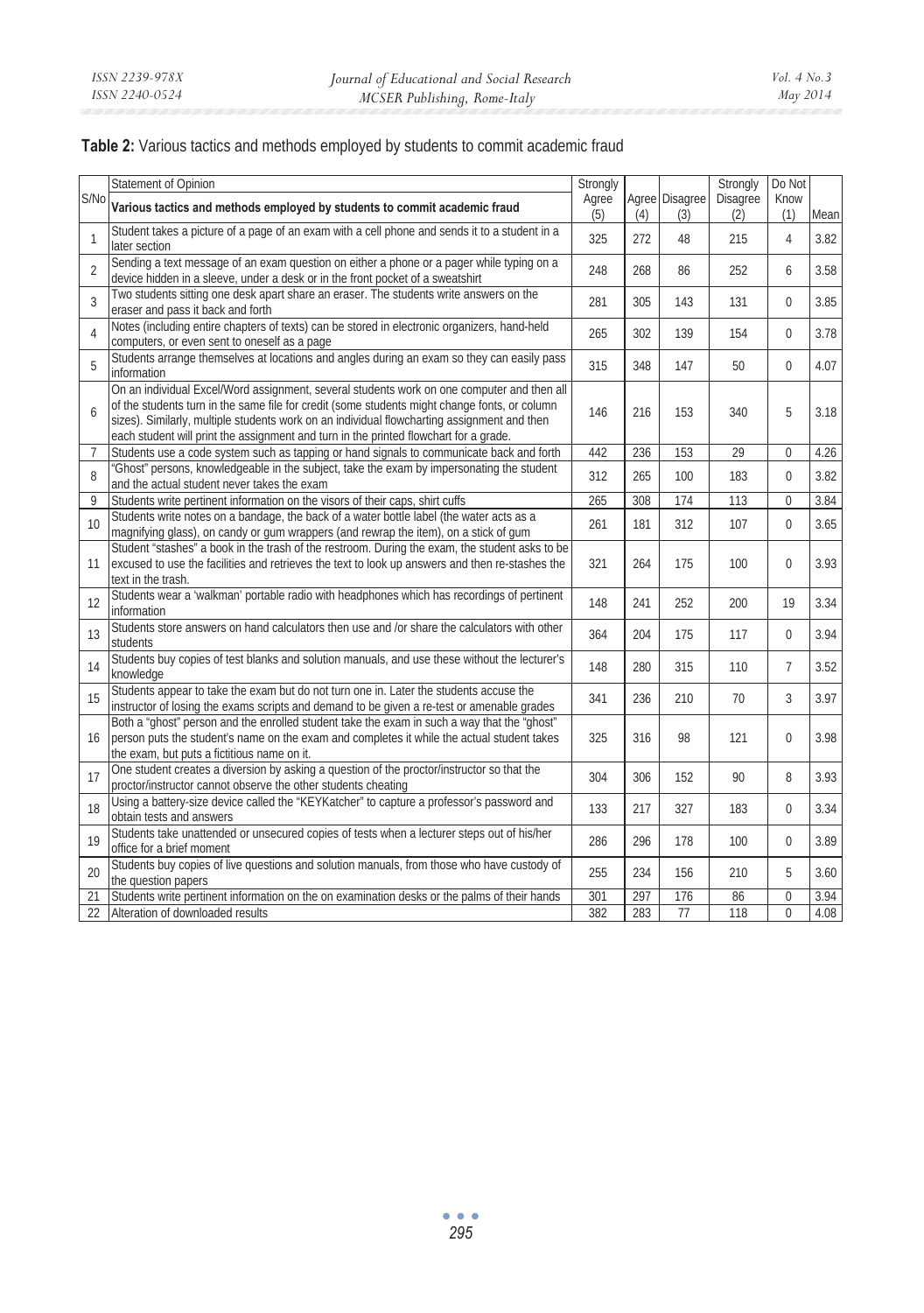#### **Table 2:** Various tactics and methods employed by students to commit academic fraud

|                | Statement of Opinion                                                                                                                                                                                                                                                                                                                                                                | Strongly     |     |                       | Strongly        | Do Not         |      |
|----------------|-------------------------------------------------------------------------------------------------------------------------------------------------------------------------------------------------------------------------------------------------------------------------------------------------------------------------------------------------------------------------------------|--------------|-----|-----------------------|-----------------|----------------|------|
| S/No           | Various tactics and methods employed by students to commit academic fraud                                                                                                                                                                                                                                                                                                           | Agree<br>(5) | (4) | Agree Disagree<br>(3) | Disagree<br>(2) | Know<br>(1)    | Mean |
|                | Student takes a picture of a page of an exam with a cell phone and sends it to a student in a                                                                                                                                                                                                                                                                                       |              |     |                       |                 |                |      |
| $\mathbf{1}$   | later section                                                                                                                                                                                                                                                                                                                                                                       | 325          | 272 | 48                    | 215             | $\overline{4}$ | 3.82 |
| $\mathfrak{D}$ | Sending a text message of an exam question on either a phone or a pager while typing on a<br>device hidden in a sleeve, under a desk or in the front pocket of a sweatshirt                                                                                                                                                                                                         | 248          | 268 | 86                    | 252             | 6              | 3.58 |
| 3              | Two students sitting one desk apart share an eraser. The students write answers on the<br>eraser and pass it back and forth                                                                                                                                                                                                                                                         | 281          | 305 | 143                   | 131             | $\Omega$       | 3.85 |
| 4              | Notes (including entire chapters of texts) can be stored in electronic organizers, hand-held<br>computers, or even sent to oneself as a page                                                                                                                                                                                                                                        | 265          | 302 | 139                   | 154             | $\Omega$       | 3.78 |
| 5              | Students arrange themselves at locations and angles during an exam so they can easily pass<br>information                                                                                                                                                                                                                                                                           | 315          | 348 | 147                   | 50              | $\Omega$       | 4.07 |
| 6              | On an individual Excel/Word assignment, several students work on one computer and then all<br>of the students turn in the same file for credit (some students might change fonts, or column<br>sizes). Similarly, multiple students work on an individual flowcharting assignment and then<br>each student will print the assignment and turn in the printed flowchart for a grade. | 146          | 216 | 153                   | 340             | 5              | 3.18 |
| $\overline{7}$ | Students use a code system such as tapping or hand signals to communicate back and forth                                                                                                                                                                                                                                                                                            | 442          | 236 | 153                   | 29              | $\Omega$       | 4.26 |
| 8              | "Ghost" persons, knowledgeable in the subject, take the exam by impersonating the student<br>and the actual student never takes the exam                                                                                                                                                                                                                                            | 312          | 265 | 100                   | 183             | $\Omega$       | 3.82 |
| 9              | Students write pertinent information on the visors of their caps, shirt cuffs                                                                                                                                                                                                                                                                                                       | 265          | 308 | 174                   | 113             | $\theta$       | 3.84 |
| 10             | Students write notes on a bandage, the back of a water bottle label (the water acts as a<br>magnifying glass), on candy or gum wrappers (and rewrap the item), on a stick of gum                                                                                                                                                                                                    | 261          | 181 | 312                   | 107             | $\Omega$       | 3.65 |
| 11             | Student "stashes" a book in the trash of the restroom. During the exam, the student asks to be<br>excused to use the facilities and retrieves the text to look up answers and then re-stashes the<br>text in the trash.                                                                                                                                                             | 321          | 264 | 175                   | 100             | $\Omega$       | 3.93 |
| 12             | Students wear a 'walkman' portable radio with headphones which has recordings of pertinent<br>information                                                                                                                                                                                                                                                                           | 148          | 241 | 252                   | 200             | 19             | 3.34 |
| 13             | Students store answers on hand calculators then use and /or share the calculators with other<br>students                                                                                                                                                                                                                                                                            | 364          | 204 | 175                   | 117             | $\Omega$       | 3.94 |
| 14             | Students buy copies of test blanks and solution manuals, and use these without the lecturer's<br>knowledge                                                                                                                                                                                                                                                                          | 148          | 280 | 315                   | 110             | $\overline{7}$ | 3.52 |
| 15             | Students appear to take the exam but do not turn one in. Later the students accuse the<br>instructor of losing the exams scripts and demand to be given a re-test or amenable grades                                                                                                                                                                                                | 341          | 236 | 210                   | 70              | 3              | 3.97 |
| 16             | Both a "ghost" person and the enrolled student take the exam in such a way that the "ghost"<br>person puts the student's name on the exam and completes it while the actual student takes<br>the exam, but puts a fictitious name on it.                                                                                                                                            | 325          | 316 | 98                    | 121             | $\Omega$       | 3.98 |
| 17             | One student creates a diversion by asking a question of the proctor/instructor so that the<br>proctor/instructor cannot observe the other students cheating                                                                                                                                                                                                                         | 304          | 306 | 152                   | 90              | 8              | 3.93 |
| 18             | Using a battery-size device called the "KEYKatcher" to capture a professor's password and<br>obtain tests and answers                                                                                                                                                                                                                                                               | 133          | 217 | 327                   | 183             | $\Omega$       | 3.34 |
| 19             | Students take unattended or unsecured copies of tests when a lecturer steps out of his/her<br>office for a brief moment                                                                                                                                                                                                                                                             | 286          | 296 | 178                   | 100             | $\Omega$       | 3.89 |
| 20             | Students buy copies of live questions and solution manuals, from those who have custody of<br>the question papers                                                                                                                                                                                                                                                                   | 255          | 234 | 156                   | 210             | 5              | 3.60 |
| 21             | Students write pertinent information on the on examination desks or the palms of their hands                                                                                                                                                                                                                                                                                        | 301          | 297 | 176                   | 86              | $\Omega$       | 3.94 |
| 22             | Alteration of downloaded results                                                                                                                                                                                                                                                                                                                                                    | 382          | 283 | 77                    | 118             | $\Omega$       | 4.08 |